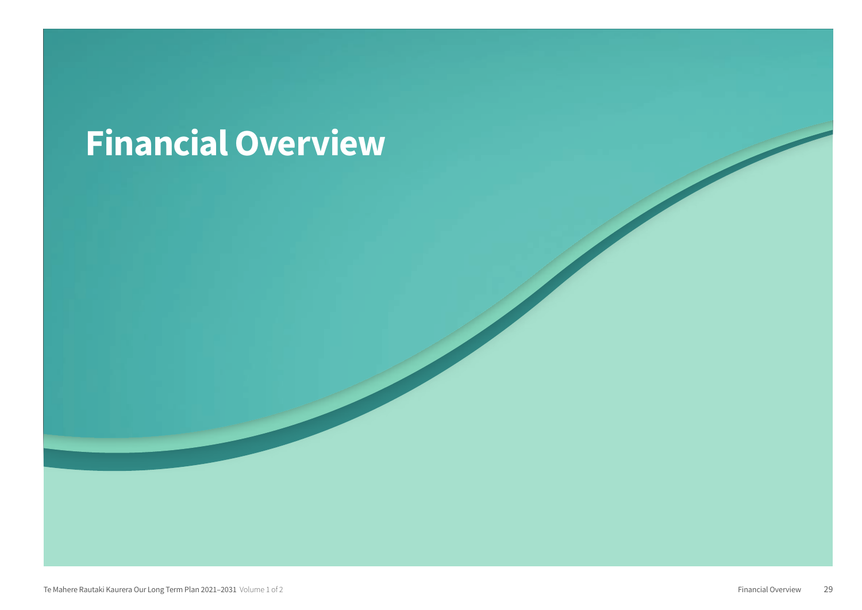# Financial Overview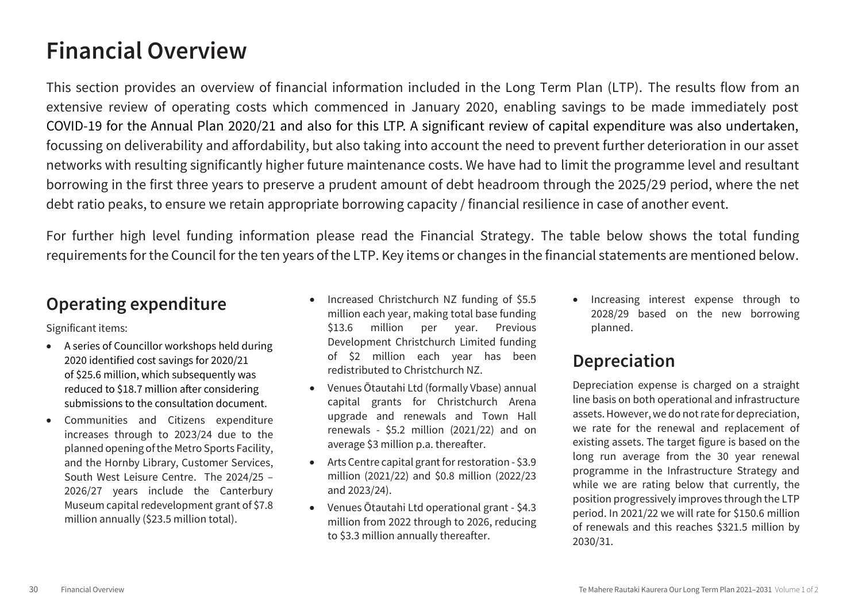## **Financial Overview**

This section provides an overview of financial information included in the Long Term Plan (LTP). The results flow from an extensive review of operating costs which commenced in January 2020, enabling savings to be made immediately post COVID-19 for the Annual Plan 2020/21 and also for this LTP. A significant review of capital expenditure was also undertaken, focussing on deliverability and affordability, but also taking into account the need to prevent further deterioration in our asset networks with resulting significantly higher future maintenance costs. We have had to limit the programme level and resultant borrowing in the first three years to preserve a prudent amount of debt headroom through the 2025/29 period, where the net debt ratio peaks, to ensure we retain appropriate borrowing capacity / financial resilience in case of another event.

For further high level funding information please read the Financial Strategy. The table below shows the total funding requirements for the Council for the ten years of the LTP. Key items or changes in the financial statements are mentioned below.

#### **Operating expenditure**

Significant items:

- A series of Councillor workshops held during A series of Councillor workshops held during 2020 identified cost savings for 2020/21 of \$25.6 million, which subsequently was reduced to \$18.7 million after considering submissions to the consultation document.
- Communities and Citizens expenditure increases through to 2023/24 due to the planned opening of the Metro Sports Facility, and the Hornby Library, Customer Services, South West Leisure Centre. The 2024/25 – 2026/27 years include the Canterbury Museum capital redevelopment grant of \$7.8 million annually (\$23.5 million total).
- Increased Christchurch NZ funding of \$5.5 million each year, making total base funding \$13.6 million per year. Previous Development Christchurch Limited funding of \$2 million each year has been redistributed to Christchurch NZ.
- Venues Ōtautahi Ltd (formally Vbase) annual capital grants for Christchurch Arena upgrade and renewals and Town Hall renewals - \$5.2 million (2021/22) and on average \$3 million p.a. thereafter.
- Arts Centre capital grant for restoration \$3.9 million (2021/22) and \$0.8 million (2022/23 and 2023/24).
- Venues Ōtautahi Ltd operational grant \$4.3 million from 2022 through to 2026, reducing to \$3.3 million annually thereafter.

• Increasing interest expense through to 2028/29 based on the new borrowing planned.

#### **Depreciation**

Depreciation expense is charged on a straight line basis on both operational and infrastructure assets. However, we do not rate for depreciation, we rate for the renewal and replacement of existing assets. The target figure is based on the long run average from the 30 year renewal programme in the Infrastructure Strategy and while we are rating below that currently, the position progressively improves through the LTP period. In 2021/22 we will rate for \$150.6 million of renewals and this reaches \$321.5 million by 2030/31.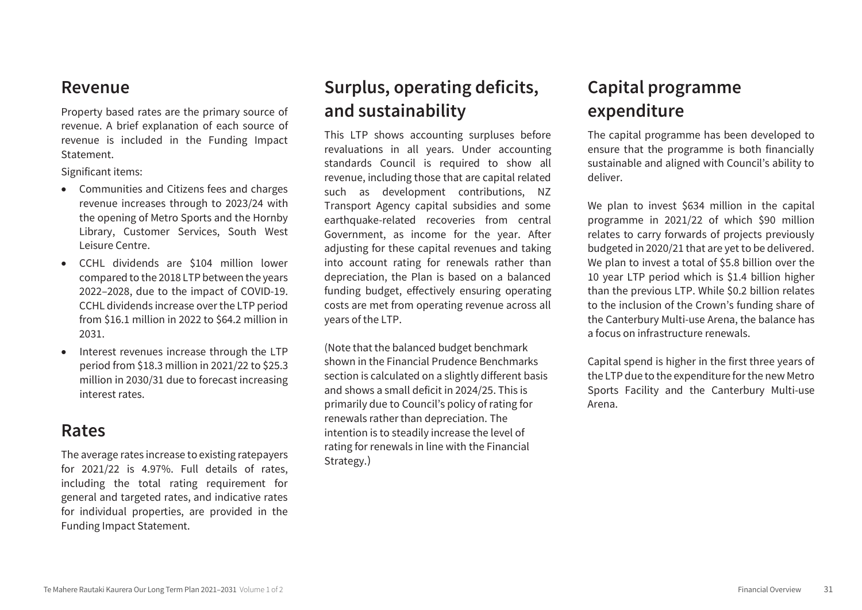#### **Revenue**

Property based rates are the primary source of revenue. A brief explanation of each source of revenue is included in the Funding Impact Statement.

Significant items:

- Communities and Citizens fees and charges revenue increases through to 2023/24 with the opening of Metro Sports and the Hornby Library, Customer Services, South West Leisure Centre.
- CCHL dividends are \$104 million lower compared to the 2018 LTP between the years 2022–2028, due to the impact of COVID-19. CCHL dividends increase over the LTP period from \$16.1 million in 2022 to \$64.2 million in 2031.
- Interest revenues increase through the LTP period from \$18.3 million in 2021/22 to \$25.3 million in 2030/31 due to forecast increasing interest rates.

#### **Rates**

The average rates increase to existing ratepayers for 2021/22 is 4.97%. Full details of rates, including the total rating requirement for general and targeted rates, and indicative rates for individual properties, are provided in the Funding Impact Statement.

## **Surplus, operating deficits, and sustainability**

This LTP shows accounting surpluses before revaluations in all years. Under accounting standards Council is required to show all revenue, including those that are capital related such as development contributions, NZ Transport Agency capital subsidies and some earthquake-related recoveries from central Government, as income for the year. After adjusting for these capital revenues and taking into account rating for renewals rather than depreciation, the Plan is based on a balanced funding budget, effectively ensuring operating costs are met from operating revenue across all years of the LTP.

(Note that the balanced budget benchmark shown in the Financial Prudence Benchmarks section is calculated on a slightly different basis and shows a small deficit in 2024/25. This is primarily due to Council's policy of rating for renewals rather than depreciation. The intention is to steadily increase the level of rating for renewals in line with the Financial Strategy. )

## **Capital programme expenditure**

The capital programme has been developed to ensure that the programme is both financially sustainable and aligned with Council's ability to deliver.

We plan to invest \$634 million in the capital programme in 2021/22 of which \$90 million relates to carry forwards of projects previously budgeted in 2020/21 that are yet to be delivered. We plan to invest a total of \$5.8 billion over the 10 year LTP period which is \$1.4 billion higher than the previous LTP. While \$0.2 billion relates to the inclusion of the Crown's funding share of the Canterbury Multi-use Arena, the balance has a focus on infrastructure renewals.

Capital spend is higher in the first three years of the LTP due to the expenditure for the new Metro Sports Facility and the Canterbury Multi-use Arena.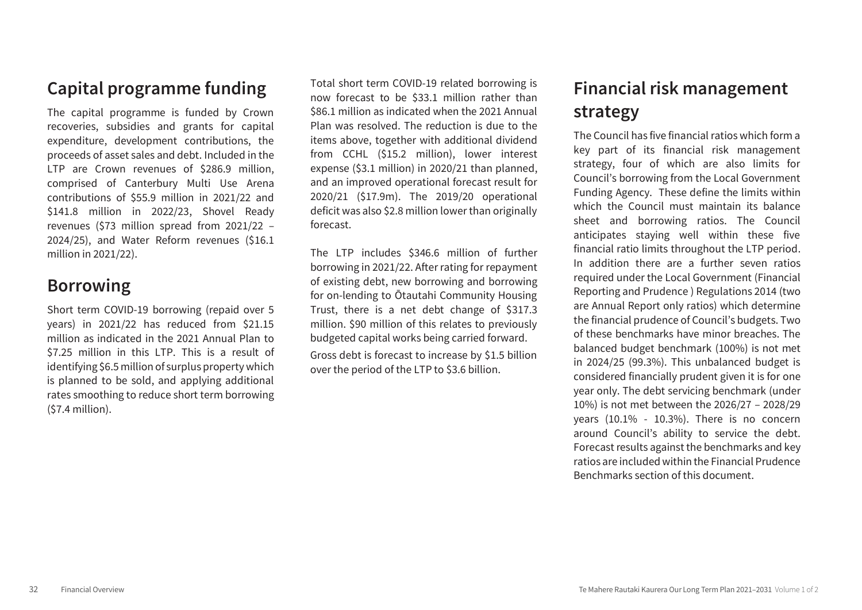### **Capital programme funding**

The capital programme is funded by Crown recoveries, subsidies and grants for capital expenditure, development contributions, the proceeds of asset sales and debt. Included in the LTP are Crown revenues of \$286.9 million, comprised of Canterbury Multi Use Arena contributions of \$55.9 million in 2021/22 and \$141.8 million in 2022/23, Shovel Ready revenues (\$73 million spread from 2021/22 – 2024/25), and Water Reform revenues (\$16.1 million in 2021/22).

#### **Borrowing**

Short term COVID-19 borrowing (repaid over 5 years) in 2021/22 has reduced from \$21.15 million as indicated in the 2021 Annual Plan to \$7.25 million in this LTP. This is a result of identifying \$6.5 million of surplus property which is planned to be sold, and applying additional rates smoothing to reduce short term borrowing (\$7.4 million).

Total short term COVID-19 related borrowing is now forecast to be \$33.1 million rather than \$86.1 million as indicated when the 2021 Annual Plan was resolved. The reduction is due to the items above, together with additional dividend from CCHL (\$15.2 million), lower interest expense (\$3.1 million) in 2020/21 than planned, and an improved operational forecast result for 2020/21 (\$17.9m). The 2019/20 operational deficit was also \$2.8 million lower than originally forecast.

The LTP includes \$346.6 million of further borrowing in 2021/22. After rating for repayment of existing debt, new borrowing and borrowing for on-lending to Ōtautahi Community Housing Trust, there is a net debt change of \$317.3 million. \$90 million of this relates to previously budgeted capital works being carried forward.

Gross debt is forecast to increase by \$1.5 billion over the period of the LTP to \$3.6 billion.

## **Financial risk management strategy**

The Council has five financial ratios which form a key part of its financial risk management strategy, four of which are also limits for Council's borrowing from the Local Government Funding Agency. These define the limits within which the Council must maintain its balance sheet and borrowing ratios. The Council anticipates staying well within these five financial ratio limits throughout the LTP period. In addition there are a further seven ratios required under the Local Government (Financial Reporting and Prudence ) Regulations 2014 (two are Annual Report only ratios) which determine the financial prudence of Council's budgets. Two of these benchmarks have minor breaches. The balanced budget benchmark (100%) is not met in 2024/25 (99.3%). This unbalanced budget is considered financially prudent given it is for one year only. The debt servicing benchmark (under 10%) is not met between the 2026/27 – 2028/29 years (10.1% - 10.3%). There is no concern around Council's ability to service the debt. Forecast results against the benchmarks and key ratios are included within the Financial Prudence Benchmarks section of this document.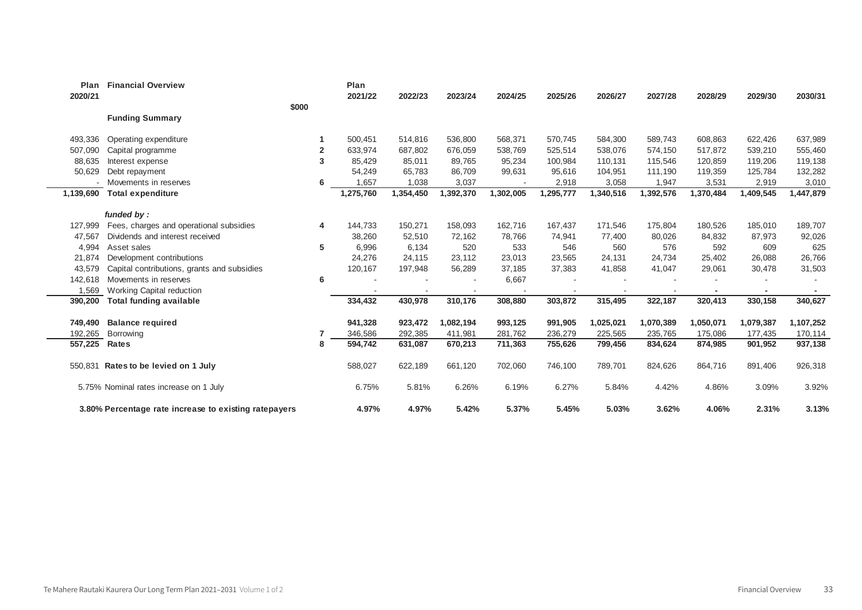| Plan<br>2020/21 | <b>Financial Overview</b>                             |                | Plan<br>2021/22 | 2022/23   | 2023/24   | 2024/25   | 2025/26   | 2026/27   | 2027/28   | 2028/29   | 2029/30   | 2030/31   |
|-----------------|-------------------------------------------------------|----------------|-----------------|-----------|-----------|-----------|-----------|-----------|-----------|-----------|-----------|-----------|
|                 |                                                       | \$000          |                 |           |           |           |           |           |           |           |           |           |
|                 | <b>Funding Summary</b>                                |                |                 |           |           |           |           |           |           |           |           |           |
| 493,336         | Operating expenditure                                 |                | 500,451         | 514,816   | 536,800   | 568,371   | 570,745   | 584,300   | 589,743   | 608,863   | 622,426   | 637,989   |
| 507,090         | Capital programme                                     | $\overline{2}$ | 633,974         | 687,802   | 676,059   | 538,769   | 525,514   | 538,076   | 574,150   | 517,872   | 539,210   | 555,460   |
| 88,635          | Interest expense                                      | 3              | 85,429          | 85,011    | 89,765    | 95,234    | 100,984   | 110,131   | 115,546   | 120,859   | 119,206   | 119,138   |
| 50,629          | Debt repayment                                        |                | 54,249          | 65,783    | 86,709    | 99,631    | 95,616    | 104,951   | 111,190   | 119,359   | 125,784   | 132,282   |
|                 | Movements in reserves                                 | 6              | 1,657           | 1,038     | 3,037     |           | 2,918     | 3,058     | 1,947     | 3,531     | 2,919     | 3,010     |
| 1,139,690       | <b>Total expenditure</b>                              |                | 1,275,760       | 1,354,450 | 1,392,370 | 1,302,005 | 1,295,777 | 1,340,516 | 1,392,576 | 1,370,484 | 1,409,545 | 1,447,879 |
|                 |                                                       |                |                 |           |           |           |           |           |           |           |           |           |
|                 | funded by:                                            |                |                 |           |           |           |           |           |           |           |           |           |
| 127,999         | Fees, charges and operational subsidies               | 4              | 144,733         | 150,271   | 158,093   | 162,716   | 167,437   | 171,546   | 175,804   | 180,526   | 185,010   | 189,707   |
| 47,567          | Dividends and interest received                       |                | 38,260          | 52,510    | 72,162    | 78,766    | 74,941    | 77,400    | 80,026    | 84,832    | 87,973    | 92,026    |
| 4,994           | Asset sales                                           | 5              | 6,996           | 6,134     | 520       | 533       | 546       | 560       | 576       | 592       | 609       | 625       |
| 21,874          | Development contributions                             |                | 24,276          | 24,115    | 23,112    | 23,013    | 23,565    | 24,131    | 24,734    | 25,402    | 26,088    | 26,766    |
| 43,579          | Capital contributions, grants and subsidies           |                | 120,167         | 197,948   | 56,289    | 37,185    | 37,383    | 41,858    | 41,047    | 29,061    | 30,478    | 31,503    |
| 142,618         | Movements in reserves                                 | 6              |                 |           |           | 6,667     |           |           |           |           |           |           |
| 1,569           | Working Capital reduction                             |                |                 |           |           |           |           |           |           |           |           |           |
| 390,200         | <b>Total funding available</b>                        |                | 334,432         | 430,978   | 310,176   | 308,880   | 303,872   | 315,495   | 322,187   | 320,413   | 330,158   | 340,627   |
| 749,490         | <b>Balance required</b>                               |                | 941,328         | 923,472   | 1,082,194 | 993,125   | 991,905   | 1,025,021 | 1,070,389 | 1,050,071 | 1,079,387 | 1,107,252 |
| 192,265         | Borrowing                                             |                | 346,586         | 292,385   | 411.981   | 281,762   | 236,279   | 225,565   | 235,765   | 175,086   | 177,435   | 170,114   |
| 557,225         | <b>Rates</b>                                          | 8              | 594,742         | 631,087   | 670,213   | 711,363   | 755,626   | 799,456   | 834,624   | 874,985   | 901,952   | 937,138   |
| 550.831         | Rates to be levied on 1 July                          |                | 588,027         | 622,189   | 661,120   | 702,060   | 746,100   | 789,701   | 824,626   | 864,716   | 891,406   | 926,318   |
|                 | 5.75% Nominal rates increase on 1 July                |                | 6.75%           | 5.81%     | 6.26%     | 6.19%     | 6.27%     | 5.84%     | 4.42%     | 4.86%     | 3.09%     | 3.92%     |
|                 | 3.80% Percentage rate increase to existing ratepayers |                | 4.97%           | 4.97%     | 5.42%     | 5.37%     | 5.45%     | 5.03%     | 3.62%     | 4.06%     | 2.31%     | 3.13%     |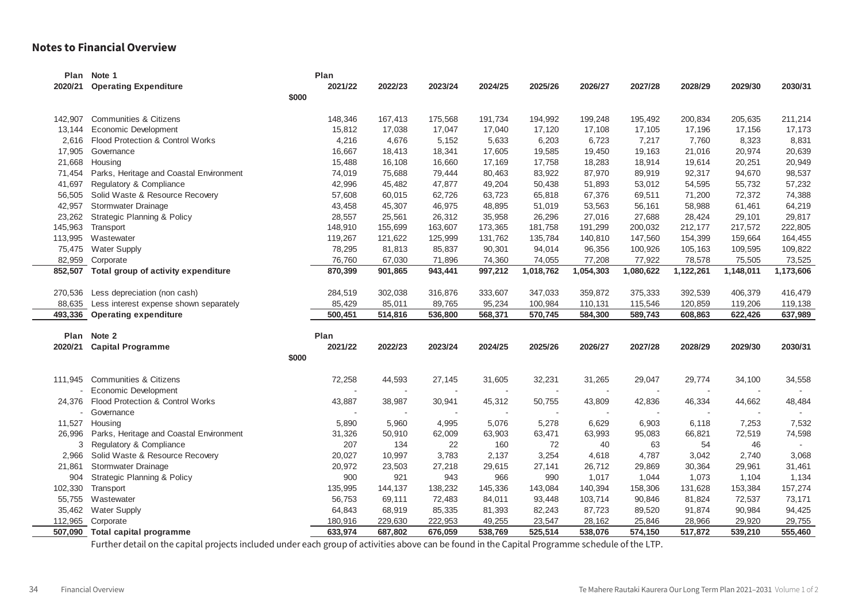#### **Notes to Financial Overview**

|         | Plan Note 1                                   | Plan    |         |         |         |           |           |           |           |           |           |
|---------|-----------------------------------------------|---------|---------|---------|---------|-----------|-----------|-----------|-----------|-----------|-----------|
| 2020/21 | <b>Operating Expenditure</b>                  | 2021/22 | 2022/23 | 2023/24 | 2024/25 | 2025/26   | 2026/27   | 2027/28   | 2028/29   | 2029/30   | 2030/31   |
|         | \$000                                         |         |         |         |         |           |           |           |           |           |           |
| 142,907 | Communities & Citizens                        | 148,346 | 167,413 | 175,568 | 191,734 | 194,992   | 199,248   | 195,492   | 200,834   | 205,635   | 211,214   |
| 13,144  | Economic Development                          | 15,812  | 17,038  | 17,047  | 17,040  | 17,120    | 17,108    | 17,105    | 17,196    | 17,156    | 17,173    |
| 2,616   | Flood Protection & Control Works              | 4,216   | 4,676   | 5,152   | 5,633   | 6,203     | 6,723     | 7,217     | 7,760     | 8,323     | 8,831     |
| 17,905  | Governance                                    | 16,667  | 18,413  | 18,341  | 17,605  | 19,585    | 19,450    | 19,163    | 21,016    | 20,974    | 20,639    |
| 21,668  | Housing                                       | 15,488  | 16,108  | 16,660  | 17,169  | 17,758    | 18,283    | 18,914    | 19,614    | 20,251    | 20,949    |
| 71,454  | Parks, Heritage and Coastal Environment       | 74,019  | 75,688  | 79,444  | 80,463  | 83,922    | 87,970    | 89,919    | 92,317    | 94,670    | 98,537    |
| 41,697  | Regulatory & Compliance                       | 42,996  | 45,482  | 47,877  | 49,204  | 50,438    | 51,893    | 53,012    | 54,595    | 55,732    | 57,232    |
| 56,505  | Solid Waste & Resource Recovery               | 57,608  | 60,015  | 62,726  | 63,723  | 65,818    | 67,376    | 69,511    | 71,200    | 72,372    | 74,388    |
| 42,957  | Stormwater Drainage                           | 43,458  | 45,307  | 46,975  | 48,895  | 51,019    | 53,563    | 56,161    | 58,988    | 61,461    | 64,219    |
| 23,262  | <b>Strategic Planning &amp; Policy</b>        | 28,557  | 25,561  | 26,312  | 35,958  | 26,296    | 27,016    | 27,688    | 28,424    | 29,101    | 29,817    |
| 145,963 | Transport                                     | 148,910 | 155,699 | 163,607 | 173,365 | 181,758   | 191,299   | 200,032   | 212,177   | 217,572   | 222,805   |
| 113,995 | Wastewater                                    | 119,267 | 121,622 | 125,999 | 131,762 | 135,784   | 140,810   | 147,560   | 154,399   | 159,664   | 164,455   |
| 75,475  | <b>Water Supply</b>                           | 78,295  | 81,813  | 85,837  | 90,301  | 94,014    | 96,356    | 100,926   | 105,163   | 109,595   | 109,822   |
| 82,959  | Corporate                                     | 76,760  | 67,030  | 71,896  | 74,360  | 74,055    | 77,208    | 77,922    | 78,578    | 75,505    | 73,525    |
|         | 852,507 Total group of activity expenditure   | 870,399 | 901,865 | 943,441 | 997,212 | 1,018,762 | 1,054,303 | 1,080,622 | 1,122,261 | 1,148,011 | 1,173,606 |
| 270,536 | Less depreciation (non cash)                  | 284,519 | 302,038 | 316,876 | 333,607 | 347,033   | 359,872   | 375,333   | 392,539   | 406,379   | 416,479   |
|         | 88,635 Less interest expense shown separately | 85,429  | 85,011  | 89,765  | 95,234  | 100,984   | 110,131   | 115,546   | 120,859   | 119,206   | 119,138   |
|         | 493,336 Operating expenditure                 | 500,451 | 514,816 | 536,800 | 568,371 | 570,745   | 584,300   | 589,743   | 608,863   | 622,426   | 637,989   |
|         | Plan Note 2                                   | Plan    |         |         |         |           |           |           |           |           |           |
| 2020/21 | <b>Capital Programme</b>                      | 2021/22 | 2022/23 | 2023/24 | 2024/25 | 2025/26   | 2026/27   | 2027/28   | 2028/29   | 2029/30   | 2030/31   |
|         | \$000                                         |         |         |         |         |           |           |           |           |           |           |
|         | 111,945 Communities & Citizens                | 72,258  | 44,593  | 27,145  | 31,605  | 32,231    | 31,265    | 29,047    | 29,774    | 34,100    | 34,558    |
|         | Economic Development                          |         |         |         |         |           |           |           |           |           |           |
| 24,376  | Flood Protection & Control Works              | 43,887  | 38,987  | 30,941  | 45,312  | 50,755    | 43,809    | 42,836    | 46,334    | 44,662    | 48,484    |
|         | - Governance                                  |         |         |         |         |           |           |           |           |           |           |
| 11,527  | Housing                                       | 5,890   | 5,960   | 4,995   | 5,076   | 5,278     | 6,629     | 6,903     | 6,118     | 7,253     | 7,532     |
| 26,996  | Parks, Heritage and Coastal Environment       | 31,326  | 50,910  | 62,009  | 63,903  | 63,471    | 63,993    | 95,083    | 66,821    | 72,519    | 74,598    |
| 3       | Regulatory & Compliance                       | 207     | 134     | 22      | 160     | 72        | 40        | 63        | 54        | 46        |           |
| 2,966   | Solid Waste & Resource Recovery               | 20,027  | 10,997  | 3,783   | 2,137   | 3,254     | 4,618     | 4,787     | 3,042     | 2,740     | 3,068     |
| 21,861  | Stormwater Drainage                           | 20,972  | 23,503  | 27,218  | 29,615  | 27,141    | 26,712    | 29,869    | 30,364    | 29,961    | 31,461    |
| 904     | <b>Strategic Planning &amp; Policy</b>        | 900     | 921     | 943     | 966     | 990       | 1,017     | 1,044     | 1,073     | 1,104     | 1,134     |
| 102,330 | Transport                                     | 135,995 | 144,137 | 138,232 | 145,336 | 143,084   | 140,394   | 158,306   | 131,628   | 153,384   | 157,274   |
| 55,755  | Wastewater                                    | 56,753  | 69,111  | 72,483  | 84,011  | 93,448    | 103,714   | 90,846    | 81,824    | 72,537    | 73,171    |
| 35,462  | <b>Water Supply</b>                           | 64,843  | 68,919  | 85,335  | 81,393  | 82,243    | 87,723    | 89,520    | 91,874    | 90,984    | 94,425    |
| 112,965 | Corporate                                     | 180,916 | 229,630 | 222,953 | 49,255  | 23,547    | 28,162    | 25,846    | 28,966    | 29,920    | 29,755    |
|         | 507,090 Total capital programme               | 633.974 | 687,802 | 676,059 | 538,769 | 525,514   | 538.076   | 574,150   | 517,872   | 539,210   | 555,460   |

Further detail on the capital projects included under each group of activities above can be found in the Capital Programme schedule of the LTP.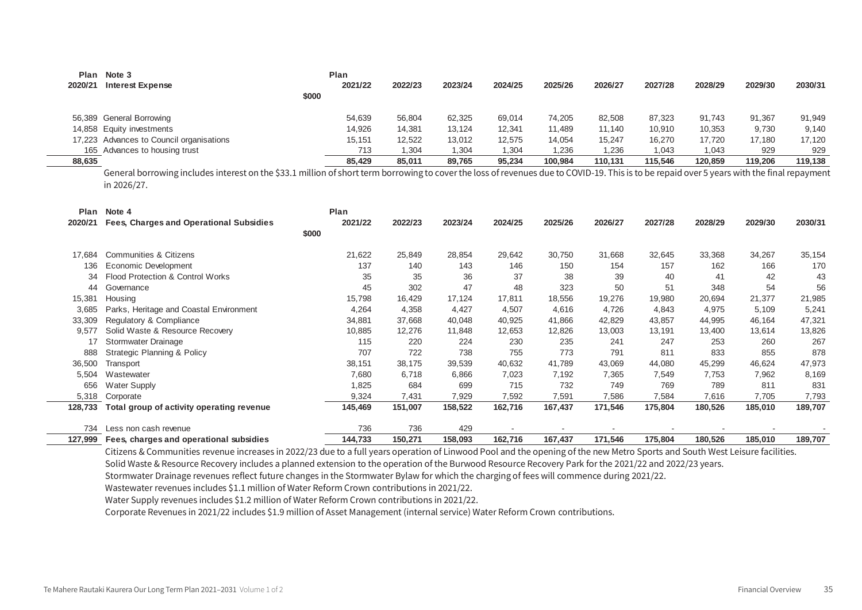| Plan    | Note 3                                   |       | Plan    |         |         |         |         |         |         |         |         |         |
|---------|------------------------------------------|-------|---------|---------|---------|---------|---------|---------|---------|---------|---------|---------|
| 2020/21 | <b>Interest Expense</b>                  |       | 2021/22 | 2022/23 | 2023/24 | 2024/25 | 2025/26 | 2026/27 | 2027/28 | 2028/29 | 2029/30 | 2030/31 |
|         |                                          | \$000 |         |         |         |         |         |         |         |         |         |         |
|         | 56,389 General Borrowing                 |       | 54,639  | 56,804  | 62.325  | 69,014  | 74.205  | 82.508  | 87,323  | 91.743  | 91,367  | 91,949  |
|         | 14,858 Equity investments                |       | 14,926  | 14,381  | 13,124  | 12,341  | 11,489  | 11,140  | 10,910  | 10,353  | 9,730   | 9,140   |
|         | 17,223 Advances to Council organisations |       | 15,151  | 12,522  | 13,012  | 12,575  | 14,054  | 15,247  | 16,270  | 17.720  | 17,180  | 17,120  |
|         | 165 Advances to housing trust            |       | 713     | 1,304   | 304، ا  | 1,304   | .236    | ,236    | 1,043   | 1,043   | 929     | 929     |
| 88,635  |                                          |       | 85.429  | 85.011  | 89,765  | 95,234  | 100.984 | 110.131 | 115.546 | 120.859 | 119.206 | 119,138 |

General borrowing includes interest on the \$33.1 million of short term borrowing to cover the loss of revenues due to COVID-19. This is to be repaid over 5 years with the final repayment in 2026/27.

| Plan    | Note 4                                         |       | Plan    |         |         |         |         |         |         |         |         |         |
|---------|------------------------------------------------|-------|---------|---------|---------|---------|---------|---------|---------|---------|---------|---------|
| 2020/21 | <b>Fees, Charges and Operational Subsidies</b> |       | 2021/22 | 2022/23 | 2023/24 | 2024/25 | 2025/26 | 2026/27 | 2027/28 | 2028/29 | 2029/30 | 2030/31 |
|         |                                                | \$000 |         |         |         |         |         |         |         |         |         |         |
| 17.684  | Communities & Citizens                         |       | 21,622  | 25,849  | 28,854  | 29,642  | 30,750  | 31,668  | 32,645  | 33,368  | 34,267  | 35,154  |
| 136     | Economic Development                           |       | 137     | 140     | 143     | 146     | 150     | 154     | 157     | 162     | 166     | 170     |
| 34      | Flood Protection & Control Works               |       | 35      | 35      | 36      | 37      | 38      | 39      | 40      | 41      | 42      | 43      |
| 44      | Governance                                     |       | 45      | 302     | 47      | 48      | 323     | 50      | 51      | 348     | 54      | 56      |
| 15,381  | Housing                                        |       | 15,798  | 16,429  | 17,124  | 17,811  | 18,556  | 19,276  | 19,980  | 20,694  | 21,377  | 21,985  |
| 3,685   | Parks, Heritage and Coastal Environment        |       | 4,264   | 4,358   | 4,427   | 4,507   | 4,616   | 4,726   | 4,843   | 4,975   | 5,109   | 5,241   |
| 33,309  | Regulatory & Compliance                        |       | 34,881  | 37,668  | 40,048  | 40,925  | 41,866  | 42,829  | 43,857  | 44,995  | 46,164  | 47,321  |
| 9,577   | Solid Waste & Resource Recovery                |       | 10,885  | 12,276  | 11,848  | 12,653  | 12,826  | 13,003  | 13,191  | 13,400  | 13,614  | 13,826  |
|         | Stormwater Drainage                            |       | 115     | 220     | 224     | 230     | 235     | 241     | 247     | 253     | 260     | 267     |
| 888     | <b>Strategic Planning &amp; Policy</b>         |       | 707     | 722     | 738     | 755     | 773     | 791     | 811     | 833     | 855     | 878     |
| 36,500  | Transport                                      |       | 38,151  | 38,175  | 39,539  | 40,632  | 41,789  | 43,069  | 44,080  | 45,299  | 46,624  | 47,973  |
| 5,504   | Wastewater                                     |       | 7,680   | 6,718   | 6,866   | 7,023   | 7,192   | 7,365   | 7,549   | 7,753   | 7,962   | 8,169   |
| 656     | Water Supply                                   |       | 1,825   | 684     | 699     | 715     | 732     | 749     | 769     | 789     | 811     | 831     |
| 5,318   | Corporate                                      |       | 9,324   | 7,431   | 7,929   | 7,592   | 7,591   | 7,586   | 7,584   | 7,616   | 7,705   | 7,793   |
| 128,733 | Total group of activity operating revenue      |       | 145,469 | 151,007 | 158,522 | 162,716 | 167,437 | 171,546 | 175,804 | 180,526 | 185,010 | 189,707 |
| 734     | Less non cash revenue                          |       | 736     | 736     | 429     |         |         |         |         |         |         |         |
| 127,999 | Fees, charges and operational subsidies        |       | 144,733 | 150,271 | 158,093 | 162,716 | 167,437 | 171,546 | 175,804 | 180,526 | 185,010 | 189,707 |

Citizens & Communities revenue increases in 2022/23 due to a full years operation of Linwood Pool and the opening of the new Metro Sports and South West Leisure facilities. Solid Waste & Resource Recovery includes a planned extension to the operation of the Burwood Resource Recovery Park for the 2021/22 and 2022/23 years.

Stormwater Drainage revenues reflect future changes in the Stormwater Bylaw for which the charging of fees will commence during 2021/22.

Wastewater revenues includes \$1.1 million of Water Reform Crown contributions in 2021/22.

Water Supply revenues includes \$1.2 million of Water Reform Crown contributions in 2021/22.

Corporate Revenues in 2021/22 includes \$1.9 million of Asset Management (internal service) Water Reform Crown contributions.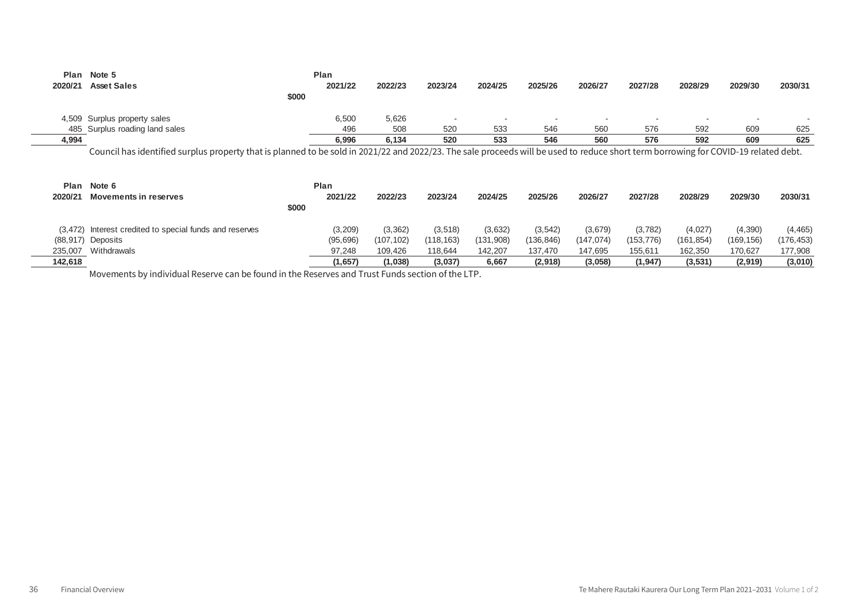| Plan    | Note 5                         | Plan    |         |         |         |                          |         |         |                          |         |                          |
|---------|--------------------------------|---------|---------|---------|---------|--------------------------|---------|---------|--------------------------|---------|--------------------------|
| 2020/21 | <b>Asset Sales</b>             | 2021/22 | 2022/23 | 2023/24 | 2024/25 | 2025/26                  | 2026/27 | 2027/28 | 2028/29                  | 2029/30 | 2030/31                  |
|         |                                | \$000   |         |         |         |                          |         |         |                          |         |                          |
|         | 4,509 Surplus property sales   | 6,500   | 5,626   |         | . .     | $\overline{\phantom{a}}$ |         | . .     | $\overline{\phantom{a}}$ |         | $\overline{\phantom{0}}$ |
|         | 485 Surplus roading land sales | 496     | 508     | 520     | 533     | 546                      | 560     | 576     | 592                      | 609     | 625                      |
| 4,994   |                                | 6,996   | 6,134   | 520     | 533     | 546                      | 560     | 576     | 592                      | 609     | 625                      |

Council has identified surplus property that is planned to be sold in 2021/22 and 2022/23. The sale proceeds will be used to reduce short term borrowing for COVID-19 related debt.

| Plan    | Note 6                                                  |       | Plan      |                          |            |           |            |            |           |            |            |            |
|---------|---------------------------------------------------------|-------|-----------|--------------------------|------------|-----------|------------|------------|-----------|------------|------------|------------|
| 2020/21 | <b>Movements in reserves</b>                            |       | 2021/22   | 2022/23                  | 2023/24    | 2024/25   | 2025/26    | 2026/27    | 2027/28   | 2028/29    | 2029/30    | 2030/31    |
|         |                                                         | \$000 |           |                          |            |           |            |            |           |            |            |            |
|         | (3,472) Interest credited to special funds and reserves |       | (3,209)   | (3,362)                  | (3,518)    | (3,632)   | (3, 542)   | (3,679)    | (3,782)   | (4,027)    | (4, 390)   | (4, 465)   |
|         | (88,917) Deposits                                       |       | (95, 696) | (107, 102)               | (118, 163) | (131,908) | (136, 846) | (147, 074) | (153,776) | (161, 854) | (169, 156) | (176, 453) |
| 235,007 | Withdrawals                                             |       | 97,248    | 109.426                  | 118.644    | 142,207   | 137.470    | 147,695    | 155,611   | 162.350    | 170,627    | 177,908    |
| 142,618 |                                                         |       | (1,657)   | (1,038)                  | (3,037)    | 6,667     | (2,918)    | (3,058)    | (1,947)   | (3,531)    | (2,919)    | (3,010)    |
|         | .                                                       | .     |           | $\cdot$ $ \cdot$ $\cdot$ |            |           |            |            |           |            |            |            |

Movements by individual Reserve can be found in the Reserves and Trust Funds section of the LTP.